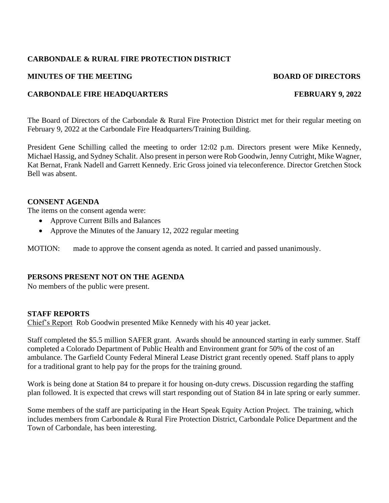## **CARBONDALE & RURAL FIRE PROTECTION DISTRICT**

### **MINUTES OF THE MEETING BOARD OF DIRECTORS**

## **CARBONDALE FIRE HEADQUARTERS FEBRUARY 9, 2022**

The Board of Directors of the Carbondale & Rural Fire Protection District met for their regular meeting on

President Gene Schilling called the meeting to order 12:02 p.m. Directors present were Mike Kennedy, Michael Hassig, and Sydney Schalit. Also present in person were Rob Goodwin, Jenny Cutright, Mike Wagner, Kat Bernat, Frank Nadell and Garrett Kennedy. Eric Gross joined via teleconference. Director Gretchen Stock Bell was absent.

#### **CONSENT AGENDA**

The items on the consent agenda were:

- Approve Current Bills and Balances
- Approve the Minutes of the January 12, 2022 regular meeting

February 9, 2022 at the Carbondale Fire Headquarters/Training Building.

MOTION: made to approve the consent agenda as noted. It carried and passed unanimously.

### **PERSONS PRESENT NOT ON THE AGENDA**

No members of the public were present.

### **STAFF REPORTS**

Chief's Report Rob Goodwin presented Mike Kennedy with his 40 year jacket.

Staff completed the \$5.5 million SAFER grant. Awards should be announced starting in early summer. Staff completed a Colorado Department of Public Health and Environment grant for 50% of the cost of an ambulance. The Garfield County Federal Mineral Lease District grant recently opened. Staff plans to apply for a traditional grant to help pay for the props for the training ground.

Work is being done at Station 84 to prepare it for housing on-duty crews. Discussion regarding the staffing plan followed. It is expected that crews will start responding out of Station 84 in late spring or early summer.

Some members of the staff are participating in the Heart Speak Equity Action Project. The training, which includes members from Carbondale & Rural Fire Protection District, Carbondale Police Department and the Town of Carbondale, has been interesting.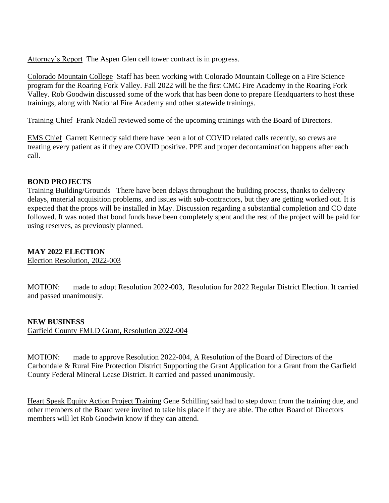Attorney's Report The Aspen Glen cell tower contract is in progress.

Colorado Mountain College Staff has been working with Colorado Mountain College on a Fire Science program for the Roaring Fork Valley. Fall 2022 will be the first CMC Fire Academy in the Roaring Fork Valley. Rob Goodwin discussed some of the work that has been done to prepare Headquarters to host these trainings, along with National Fire Academy and other statewide trainings.

Training Chief Frank Nadell reviewed some of the upcoming trainings with the Board of Directors.

EMS Chief Garrett Kennedy said there have been a lot of COVID related calls recently, so crews are treating every patient as if they are COVID positive. PPE and proper decontamination happens after each call.

## **BOND PROJECTS**

Training Building/Grounds There have been delays throughout the building process, thanks to delivery delays, material acquisition problems, and issues with sub-contractors, but they are getting worked out. It is expected that the props will be installed in May. Discussion regarding a substantial completion and CO date followed. It was noted that bond funds have been completely spent and the rest of the project will be paid for using reserves, as previously planned.

# **MAY 2022 ELECTION**

Election Resolution, 2022-003

MOTION: made to adopt Resolution 2022-003, Resolution for 2022 Regular District Election. It carried and passed unanimously.

# **NEW BUSINESS**

Garfield County FMLD Grant, Resolution 2022-004

MOTION: made to approve Resolution 2022-004, A Resolution of the Board of Directors of the Carbondale & Rural Fire Protection District Supporting the Grant Application for a Grant from the Garfield County Federal Mineral Lease District. It carried and passed unanimously.

Heart Speak Equity Action Project Training Gene Schilling said had to step down from the training due, and other members of the Board were invited to take his place if they are able. The other Board of Directors members will let Rob Goodwin know if they can attend.